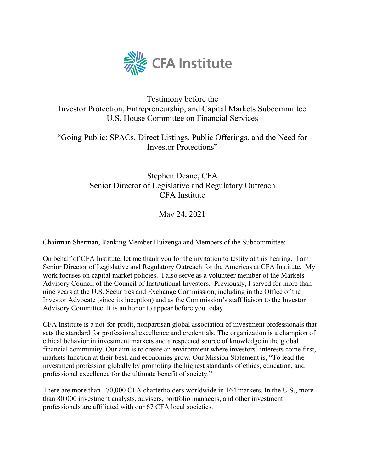

## Testimony before the Investor Protection, Entrepreneurship, and Capital Markets Subcommittee U.S. House Committee on Financial Services

"Going Public: SPACs, Direct Listings, Public Offerings, and the Need for Investor Protections"

# Stephen Deane, CFA Senior Director of Legislative and Regulatory Outreach CFA Institute

May 24, 2021

Chairman Sherman, Ranking Member Huizenga and Members of the Subcommittee:

On behalf of CFA Institute, let me thank you for the invitation to testify at this hearing. I am Senior Director of Legislative and Regulatory Outreach for the Americas at CFA Institute. My work focuses on capital market policies. I also serve as a volunteer member of the Markets Advisory Council of the Council of Institutional Investors. Previously, I served for more than nine years at the U.S. Securities and Exchange Commission, including in the Office of the Investor Advocate (since its inception) and as the Commission's staff liaison to the Investor Advisory Committee. It is an honor to appear before you today.

CFA Institute is a not-for-profit, nonpartisan global association of investment professionals that sets the standard for professional excellence and credentials. The organization is a champion of ethical behavior in investment markets and a respected source of knowledge in the global financial community. Our aim is to create an environment where investors' interests come first, markets function at their best, and economies grow. Our Mission Statement is, "To lead the investment profession globally by promoting the highest standards of ethics, education, and professional excellence for the ultimate benefit of society."

There are more than 170,000 CFA charterholders worldwide in 164 markets. In the U.S., more than 80,000 investment analysts, advisers, portfolio managers, and other investment professionals are affiliated with our 67 CFA local societies.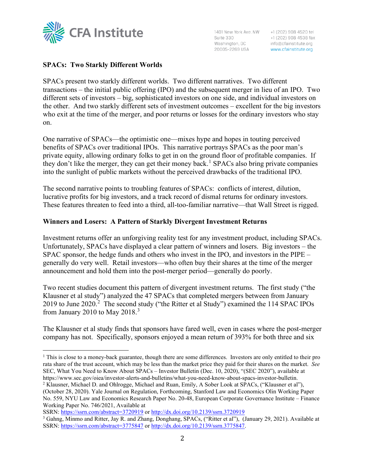

+1 (202) 908 4520 tel +1 (202) 908 4538 fax info@cfainstitute.org www.cfainstitute.org

## **SPACs: Two Starkly Different Worlds**

SPACs present two starkly different worlds. Two different narratives. Two different transactions – the initial public offering (IPO) and the subsequent merger in lieu of an IPO. Two different sets of investors – big, sophisticated investors on one side, and individual investors on the other. And two starkly different sets of investment outcomes – excellent for the big investors who exit at the time of the merger, and poor returns or losses for the ordinary investors who stay on.

One narrative of SPACs—the optimistic one—mixes hype and hopes in touting perceived benefits of SPACs over traditional IPOs. This narrative portrays SPACs as the poor man's private equity, allowing ordinary folks to get in on the ground floor of profitable companies. If they don't like the merger, they can get their money back.<sup>[1](#page-1-0)</sup> SPACs also bring private companies into the sunlight of public markets without the perceived drawbacks of the traditional IPO.

The second narrative points to troubling features of SPACs: conflicts of interest, dilution, lucrative profits for big investors, and a track record of dismal returns for ordinary investors. These features threaten to feed into a third, all-too-familiar narrative—that Wall Street is rigged.

#### **Winners and Losers: A Pattern of Starkly Divergent Investment Returns**

Investment returns offer an unforgiving reality test for any investment product, including SPACs. Unfortunately, SPACs have displayed a clear pattern of winners and losers. Big investors – the SPAC sponsor, the hedge funds and others who invest in the IPO, and investors in the PIPE – generally do very well. Retail investors—who often buy their shares at the time of the merger announcement and hold them into the post-merger period—generally do poorly.

Two recent studies document this pattern of divergent investment returns. The first study ("the Klausner et al study") analyzed the 47 SPACs that completed mergers between from January [2](#page-1-1)019 to June 2020.<sup>2</sup> The second study ("the Ritter et al Study") examined the 114 SPAC IPOs from January 2010 to May  $2018.<sup>3</sup>$  $2018.<sup>3</sup>$  $2018.<sup>3</sup>$ 

The Klausner et al study finds that sponsors have fared well, even in cases where the post-merger company has not. Specifically, sponsors enjoyed a mean return of 393% for both three and six

SSRN: <https://ssrn.com/abstract=3720919> or [http://dx.doi.org/10.2139/ssrn.3720919](https://dx.doi.org/10.2139/ssrn.3720919)

<span id="page-1-0"></span><sup>&</sup>lt;sup>1</sup> This is close to a money-back guarantee, though there are some differences. Investors are only entitled to their pro rata share of the trust account, which may be less than the market price they paid for their shares on the market. *See* SEC, What You Need to Know About SPACs – Investor Bulletin (Dec. 10, 2020), "(SEC 2020"), available at https://www.sec.gov/oiea/investor-alerts-and-bulletins/what-you-need-know-about-spacs-investor-bulletin.

<span id="page-1-1"></span><sup>2</sup> Klausner, Michael D. and Ohlrogge, Michael and Ruan, Emily, A Sober Look at SPACs, ("Klausner et al"), (October 28, 2020). Yale Journal on Regulation, Forthcoming, Stanford Law and Economics Olin Working Paper No. 559, NYU Law and Economics Research Paper No. 20-48, European Corporate Governance Institute – Finance Working Paper No. 746/2021, Available at

<span id="page-1-2"></span><sup>3</sup> Gahng, Minmo and Ritter, Jay R. and Zhang, Donghang, SPACs, ("Ritter et al"), (January 29, 2021). Available at SSRN: <https://ssrn.com/abstract=3775847> or [http://dx.doi.org/10.2139/ssrn.3775847.](https://dx.doi.org/10.2139/ssrn.3775847)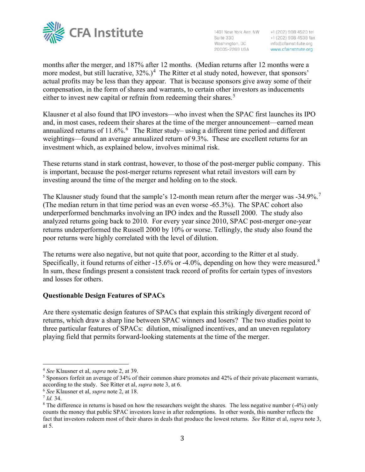

Suite 330 Suite 330<br>Washington, DC<br>20005-2269 USA

1401 New York Ave. NW +1 (202) 908 4520 tel +1 (202) 908 4538 fax info@cfainstitute.org www.cfainstitute.org

months after the merger, and 187% after 12 months. (Median returns after 12 months were a more modest, but still lucrative,  $32\%$ .)<sup>[4](#page-2-0)</sup> The Ritter et al study noted, however, that sponsors' actual profits may be less than they appear. That is because sponsors give away some of their compensation, in the form of shares and warrants, to certain other investors as inducements either to invest new capital or refrain from redeeming their shares.<sup>[5](#page-2-1)</sup>

Klausner et al also found that IPO investors—who invest when the SPAC first launches its IPO and, in most cases, redeem their shares at the time of the merger announcement—earned mean annualized returns of 11.[6](#page-2-2)%. $^6$  The Ritter study– using a different time period and different weightings—found an average annualized return of 9.3%. These are excellent returns for an investment which, as explained below, involves minimal risk.

These returns stand in stark contrast, however, to those of the post-merger public company. This is important, because the post-merger returns represent what retail investors will earn by investing around the time of the merger and holding on to the stock.

The Klausner study found that the sample's 12-month mean return after the merger was -34.9%.<sup>[7](#page-2-3)</sup> (The median return in that time period was an even worse -65.3%). The SPAC cohort also underperformed benchmarks involving an IPO index and the Russell 2000. The study also analyzed returns going back to 2010. For every year since 2010, SPAC post-merger one-year returns underperformed the Russell 2000 by 10% or worse. Tellingly, the study also found the poor returns were highly correlated with the level of dilution.

The returns were also negative, but not quite that poor, according to the Ritter et al study. Specifically, it found returns of either -15.6% or -4.0%, depending on how they were measured. $8$ In sum, these findings present a consistent track record of profits for certain types of investors and losses for others.

## **Questionable Design Features of SPACs**

Are there systematic design features of SPACs that explain this strikingly divergent record of returns, which draw a sharp line between SPAC winners and losers? The two studies point to three particular features of SPACs: dilution, misaligned incentives, and an uneven regulatory playing field that permits forward-looking statements at the time of the merger.

<span id="page-2-0"></span><sup>4</sup> *See* Klausner et al, *supra* note 2, at 39.

<span id="page-2-1"></span> $<sup>5</sup>$  Sponsors forfeit an average of 34% of their common share promotes and 42% of their private placement warrants,</sup> according to the study. See Ritter et al, *supra* note 3, at 6.

<span id="page-2-2"></span><sup>6</sup> *See* Klausner et al, *supra* note 2, at 18.

<span id="page-2-3"></span><sup>7</sup> *Id.* 34.

<span id="page-2-4"></span><sup>&</sup>lt;sup>8</sup> The difference in returns is based on how the researchers weight the shares. The less negative number (-4%) only counts the money that public SPAC investors leave in after redemptions. In other words, this number reflects the fact that investors redeem most of their shares in deals that produce the lowest returns. *See* Ritter et al, *supra* note 3, at 5.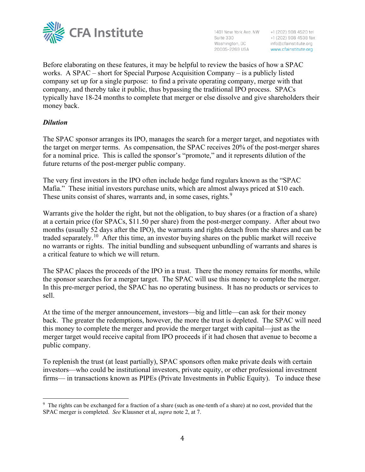

1401 New York Ave. NW +1 (202) 908 4520 tel Suite 330<br>
+1 (202) 908 4538 fax<br>
Washington, DC info@cfainstitute.org<br>
20005-2269 USA www.cfainstitute.org

+1 (202) 908 4538 fax

Before elaborating on these features, it may be helpful to review the basics of how a SPAC works. A SPAC – short for Special Purpose Acquisition Company – is a publicly listed company set up for a single purpose: to find a private operating company, merge with that company, and thereby take it public, thus bypassing the traditional IPO process. SPACs typically have 18-24 months to complete that merger or else dissolve and give shareholders their money back.

## *Dilution*

The SPAC sponsor arranges its IPO, manages the search for a merger target, and negotiates with the target on merger terms. As compensation, the SPAC receives 20% of the post-merger shares for a nominal price. This is called the sponsor's "promote," and it represents dilution of the future returns of the post-merger public company.

The very first investors in the IPO often include hedge fund regulars known as the "SPAC Mafia." These initial investors purchase units, which are almost always priced at \$10 each. These units consist of shares, warrants and, in some cases, rights.<sup>[9](#page-3-0)</sup>

Warrants give the holder the right, but not the obligation, to buy shares (or a fraction of a share) at a certain price (for SPACs, \$11.50 per share) from the post-merger company. After about two months (usually 52 days after the IPO), the warrants and rights detach from the shares and can be traded separately.<sup>[10](#page-3-1)</sup> After this time, an investor buying shares on the public market will receive no warrants or rights. The initial bundling and subsequent unbundling of warrants and shares is a critical feature to which we will return.

The SPAC places the proceeds of the IPO in a trust. There the money remains for months, while the sponsor searches for a merger target. The SPAC will use this money to complete the merger. In this pre-merger period, the SPAC has no operating business. It has no products or services to sell.

At the time of the merger announcement, investors—big and little—can ask for their money back. The greater the redemptions, however, the more the trust is depleted. The SPAC will need this money to complete the merger and provide the merger target with capital—just as the merger target would receive capital from IPO proceeds if it had chosen that avenue to become a public company.

To replenish the trust (at least partially), SPAC sponsors often make private deals with certain investors—who could be institutional investors, private equity, or other professional investment firms— in transactions known as PIPEs (Private Investments in Public Equity). To induce these

<span id="page-3-1"></span><span id="page-3-0"></span><sup>&</sup>lt;sup>9</sup> The rights can be exchanged for a fraction of a share (such as one-tenth of a share) at no cost, provided that the SPAC merger is completed. *See* Klausner et al, *supra* note 2, at 7.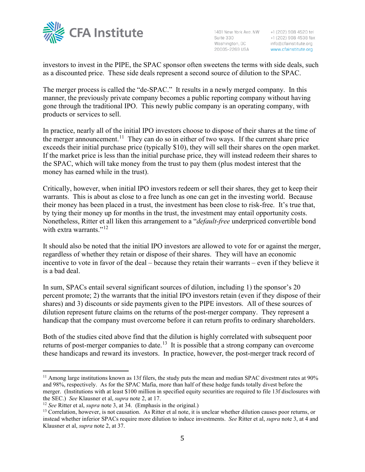

+1 (202) 908 4520 tel +1 (202) 908 4538 fax info@cfainstitute.org www.cfainstitute.org

investors to invest in the PIPE, the SPAC sponsor often sweetens the terms with side deals, such as a discounted price. These side deals represent a second source of dilution to the SPAC.

The merger process is called the "de-SPAC." It results in a newly merged company. In this manner, the previously private company becomes a public reporting company without having gone through the traditional IPO. This newly public company is an operating company, with products or services to sell.

In practice, nearly all of the initial IPO investors choose to dispose of their shares at the time of the merger announcement.<sup>[11](#page-4-0)</sup> They can do so in either of two ways. If the current share price exceeds their initial purchase price (typically \$10), they will sell their shares on the open market. If the market price is less than the initial purchase price, they will instead redeem their shares to the SPAC, which will take money from the trust to pay them (plus modest interest that the money has earned while in the trust).

Critically, however, when initial IPO investors redeem or sell their shares, they get to keep their warrants. This is about as close to a free lunch as one can get in the investing world. Because their money has been placed in a trust, the investment has been close to risk-free. It's true that, by tying their money up for months in the trust, the investment may entail opportunity costs. Nonetheless, Ritter et all liken this arrangement to a "*default-free* underpriced convertible bond with extra warrants."<sup>[12](#page-4-1)</sup>

It should also be noted that the initial IPO investors are allowed to vote for or against the merger, regardless of whether they retain or dispose of their shares. They will have an economic incentive to vote in favor of the deal – because they retain their warrants – even if they believe it is a bad deal.

In sum, SPACs entail several significant sources of dilution, including 1) the sponsor's 20 percent promote; 2) the warrants that the initial IPO investors retain (even if they dispose of their shares) and 3) discounts or side payments given to the PIPE investors. All of these sources of dilution represent future claims on the returns of the post-merger company. They represent a handicap that the company must overcome before it can return profits to ordinary shareholders.

Both of the studies cited above find that the dilution is highly correlated with subsequent poor returns of post-merger companies to date.<sup>13</sup> It is possible that a strong company can overcome these handicaps and reward its investors. In practice, however, the post-merger track record of

<span id="page-4-0"></span> $11$  Among large institutions known as 13f filers, the study puts the mean and median SPAC divestment rates at 90% and 98%, respectively. As for the SPAC Mafia, more than half of these hedge funds totally divest before the merger. (Institutions with at least \$100 million in specified equity securities are required to file 13f disclosures with the SEC.) See Klausner et al, *supra* note 2, at 17.<br><sup>12</sup> See Ritter et al, *supra* note 3, at 34. (Emphasis in the original.)<br><sup>13</sup> Correlation, however, is not causation. As Ritter et al note, it is unclear whether diluti

<span id="page-4-1"></span>

<span id="page-4-2"></span>instead whether inferior SPACs require more dilution to induce investments. *See* Ritter et al, *supra* note 3, at 4 and Klausner et al, *supra* note 2, at 37.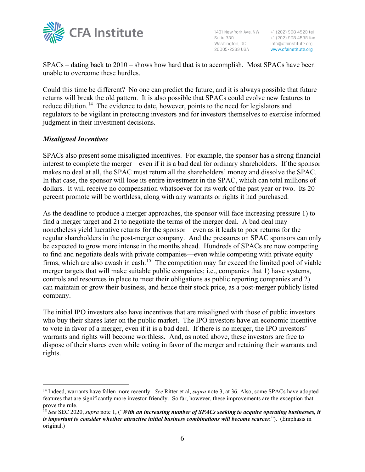

+1 (202) 908 4520 tel +1 (202) 908 4538 fax info@cfainstitute.org www.cfainstitute.org

SPACs – dating back to 2010 – shows how hard that is to accomplish. Most SPACs have been unable to overcome these hurdles.

Could this time be different? No one can predict the future, and it is always possible that future returns will break the old pattern. It is also possible that SPACs could evolve new features to reduce dilution.<sup>[14](#page-5-0)</sup> The evidence to date, however, points to the need for legislators and regulators to be vigilant in protecting investors and for investors themselves to exercise informed judgment in their investment decisions.

## *Misaligned Incentives*

SPACs also present some misaligned incentives. For example, the sponsor has a strong financial interest to complete the merger – even if it is a bad deal for ordinary shareholders. If the sponsor makes no deal at all, the SPAC must return all the shareholders' money and dissolve the SPAC. In that case, the sponsor will lose its entire investment in the SPAC, which can total millions of dollars. It will receive no compensation whatsoever for its work of the past year or two. Its 20 percent promote will be worthless, along with any warrants or rights it had purchased.

As the deadline to produce a merger approaches, the sponsor will face increasing pressure 1) to find a merger target and 2) to negotiate the terms of the merger deal. A bad deal may nonetheless yield lucrative returns for the sponsor—even as it leads to poor returns for the regular shareholders in the post-merger company. And the pressures on SPAC sponsors can only be expected to grow more intense in the months ahead. Hundreds of SPACs are now competing to find and negotiate deals with private companies—even while competing with private equity firms, which are also awash in cash.<sup>15</sup> The competition may far exceed the limited pool of viable merger targets that will make suitable public companies; i.e., companies that 1) have systems, controls and resources in place to meet their obligations as public reporting companies and 2) can maintain or grow their business, and hence their stock price, as a post-merger publicly listed company.

The initial IPO investors also have incentives that are misaligned with those of public investors who buy their shares later on the public market. The IPO investors have an economic incentive to vote in favor of a merger, even if it is a bad deal. If there is no merger, the IPO investors' warrants and rights will become worthless. And, as noted above, these investors are free to dispose of their shares even while voting in favor of the merger and retaining their warrants and rights.

<span id="page-5-0"></span><sup>14</sup> Indeed, warrants have fallen more recently. *See* Ritter et al, *supra* note 3, at 36. Also, some SPACs have adopted features that are significantly more investor-friendly. So far, however, these improvements are the exception that prove the rule.

<span id="page-5-1"></span><sup>15</sup> *See* SEC 2020, *supra* note 1, ("*With an increasing number of SPACs seeking to acquire operating businesses, it is important to consider whether attractive initial business combinations will become scarcer.*"). (Emphasis in original.)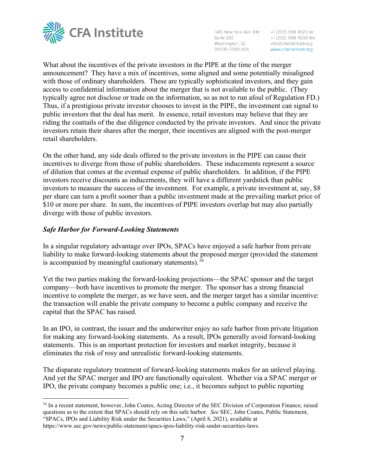

1401 New York Ave. NW +1 (202) 908 4520 tel Suite 330 Washington, DC 20005-2269 USA

+1 (202) 908 4538 fax info@cfainstitute.org www.cfainstitute.org

What about the incentives of the private investors in the PIPE at the time of the merger announcement? They have a mix of incentives, some aligned and some potentially misaligned with those of ordinary shareholders. These are typically sophisticated investors, and they gain access to confidential information about the merger that is not available to the public. (They typically agree not disclose or trade on the information, so as not to run afoul of Regulation FD.) Thus, if a prestigious private investor chooses to invest in the PIPE, the investment can signal to public investors that the deal has merit. In essence, retail investors may believe that they are riding the coattails of the due diligence conducted by the private investors. And since the private investors retain their shares after the merger, their incentives are aligned with the post-merger retail shareholders.

On the other hand, any side deals offered to the private investors in the PIPE can cause their incentives to diverge from those of public shareholders. These inducements represent a source of dilution that comes at the eventual expense of public shareholders. In addition, if the PIPE investors receive discounts as inducements, they will have a different yardstick than public investors to measure the success of the investment. For example, a private investment at, say, \$8 per share can turn a profit sooner than a public investment made at the prevailing market price of \$10 or more per share. In sum, the incentives of PIPE investors overlap but may also partially diverge with those of public investors.

## *Safe Harbor for Forward-Looking Statements*

In a singular regulatory advantage over IPOs, SPACs have enjoyed a safe harbor from private liability to make forward-looking statements about the proposed merger (provided the statement is accompanied by meaningful cautionary statements).<sup>[16](#page-6-0)</sup>

Yet the two parties making the forward-looking projections—the SPAC sponsor and the target company—both have incentives to promote the merger. The sponsor has a strong financial incentive to complete the merger, as we have seen, and the merger target has a similar incentive: the transaction will enable the private company to become a public company and receive the capital that the SPAC has raised.

In an IPO, in contrast, the issuer and the underwriter enjoy no safe harbor from private litigation for making any forward-looking statements. As a result, IPOs generally avoid forward-looking statements. This is an important protection for investors and market integrity, because it eliminates the risk of rosy and unrealistic forward-looking statements.

The disparate regulatory treatment of forward-looking statements makes for an unlevel playing. And yet the SPAC merger and IPO are functionally equivalent. Whether via a SPAC merger or IPO, the private company becomes a public one; i.e., it becomes subject to public reporting

<span id="page-6-0"></span><sup>16</sup> In a recent statement, however, John Coates, Acting Director of the SEC Division of Corporation Finance, raised questions as to the extent that SPACs should rely on this safe harbor. *See* SEC, John Coates, Public Statement, "SPACs, IPOs and Liability Risk under the Securities Laws," (April 8, 2021), available at https://www.sec.gov/news/public-statement/spacs-ipos-liability-risk-under-securities-laws.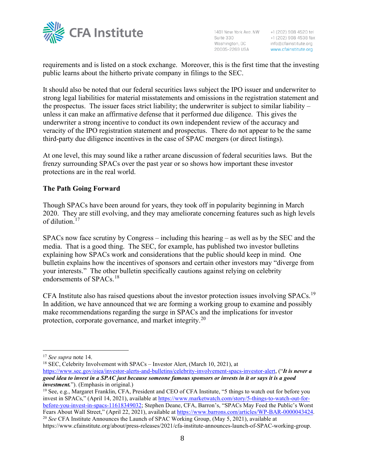

+1 (202) 908 4520 tel +1 (202) 908 4538 fax info@cfainstitute.org www.cfainstitute.org

requirements and is listed on a stock exchange. Moreover, this is the first time that the investing public learns about the hitherto private company in filings to the SEC.

It should also be noted that our federal securities laws subject the IPO issuer and underwriter to strong legal liabilities for material misstatements and omissions in the registration statement and the prospectus. The issuer faces strict liability; the underwriter is subject to similar liability – unless it can make an affirmative defense that it performed due diligence. This gives the underwriter a strong incentive to conduct its own independent review of the accuracy and veracity of the IPO registration statement and prospectus. There do not appear to be the same third-party due diligence incentives in the case of SPAC mergers (or direct listings).

At one level, this may sound like a rather arcane discussion of federal securities laws. But the frenzy surrounding SPACs over the past year or so shows how important these investor protections are in the real world.

## **The Path Going Forward**

Though SPACs have been around for years, they took off in popularity beginning in March 2020. They are still evolving, and they may ameliorate concerning features such as high levels of dilution. [17](#page-7-0)

SPACs now face scrutiny by Congress – including this hearing – as well as by the SEC and the media. That is a good thing. The SEC, for example, has published two investor bulletins explaining how SPACs work and considerations that the public should keep in mind. One bulletin explains how the incentives of sponsors and certain other investors may "diverge from your interests." The other bulletin specifically cautions against relying on celebrity endorsements of SPACs.<sup>[18](#page-7-1)</sup>

CFA Institute also has raised questions about the investor protection issues involving SPACs.[19](#page-7-2)  In addition, we have announced that we are forming a working group to examine and possibly make recommendations regarding the surge in SPACs and the implications for investor protection, corporate governance, and market integrity.<sup>[20](#page-7-3)</sup>

<span id="page-7-1"></span><sup>18</sup> SEC, Celebrity Involvement with SPACs – Investor Alert, (March 10, 2021), at [https://www.sec.gov/oiea/investor-alerts-and-bulletins/celebrity-involvement-spacs-investor-alert,](https://www.sec.gov/oiea/investor-alerts-and-bulletins/celebrity-involvement-spacs-investor-alert) ("*It is never a good idea to invest in a SPAC just because someone famous sponsors or invests in it or says it is a good* 

<span id="page-7-2"></span>*investment.*"). (Emphasis in original.) <sup>19</sup> See, e.g., Margaret Franklin, CFA, President and CEO of CFA Institute, "5 things to watch out for before you invest in SPACs," (April 14, 2021), available a[t https://www.marketwatch.com/story/5-things-to-watch-out-for](https://www.marketwatch.com/story/5-things-to-watch-out-for-before-you-invest-in-spacs-11618349032)[before-you-invest-in-spacs-11618349032;](https://www.marketwatch.com/story/5-things-to-watch-out-for-before-you-invest-in-spacs-11618349032) Stephen Deane, CFA, Barron's, "SPACs May Feed the Public's Worst Fears About Wall Street," (April 22, 2021), available at [https://www.barrons.com/articles/WP-BAR-0000043424.](https://www.barrons.com/articles/WP-BAR-0000043424) <sup>20</sup> *See* CFA Institute Announces the Launch of SPAC Working Group, (May 5, 2021), available at

<span id="page-7-0"></span><sup>17</sup> *See supra* note 14.

<span id="page-7-3"></span>https://www.cfainstitute.org/about/press-releases/2021/cfa-institute-announces-launch-of-SPAC-working-group.